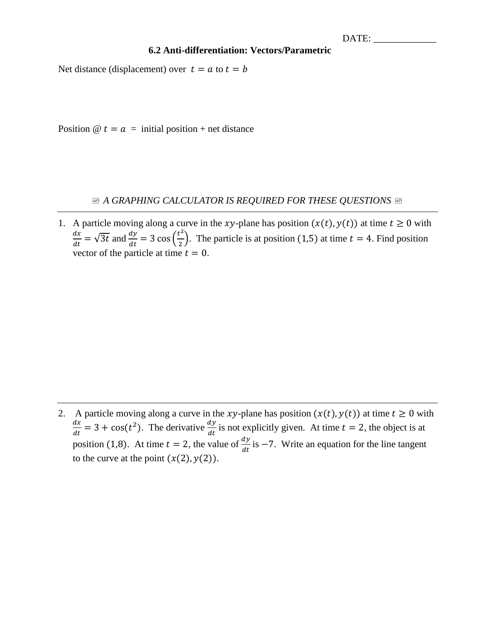DATE:

## **6.2 Anti-differentiation: Vectors/Parametric**

Net distance (displacement) over  $t = a$  to  $t = b$ 

Position  $@ t = a =$  initial position + net distance

## *A GRAPHING CALCULATOR IS REQUIRED FOR THESE QUESTIONS*

1. A particle moving along a curve in the xy-plane has position  $(x(t), y(t))$  at time  $t \ge 0$  with  $dx$  $\frac{dx}{dt} = \sqrt{3t}$  and  $\frac{dy}{dt} = 3 \cos\left(\frac{t^2}{2}\right)$  $\frac{1}{2}$ ). The particle is at position (1,5) at time  $t = 4$ . Find position vector of the particle at time  $t = 0$ .

2. A particle moving along a curve in the xy-plane has position  $(x(t), y(t))$  at time  $t \ge 0$  with  $dx$  $\frac{dx}{dt} = 3 + \cos(t^2)$ . The derivative  $\frac{dy}{dt}$  is not explicitly given. At time  $t = 2$ , the object is at position (1,8). At time  $t = 2$ , the value of  $\frac{dy}{dt}$  is -7. Write an equation for the line tangent to the curve at the point  $(x(2), y(2))$ .